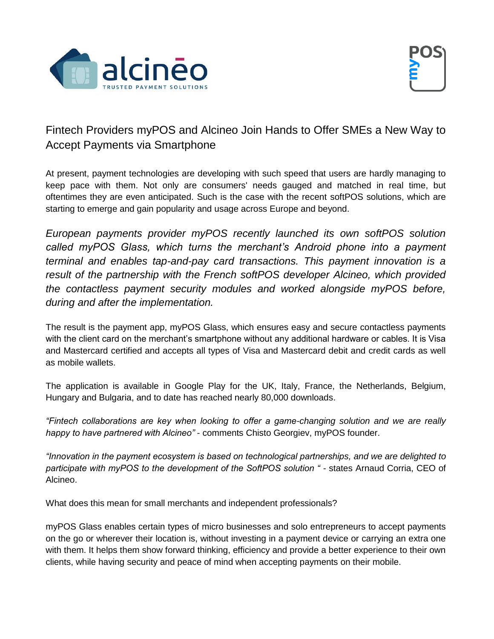



## Fintech Providers myPOS and Alcineo Join Hands to Offer SMEs a New Way to Accept Payments via Smartphone

At present, payment technologies are developing with such speed that users are hardly managing to keep pace with them. Not only are consumers' needs gauged and matched in real time, but oftentimes they are even anticipated. Such is the case with the recent softPOS solutions, which are starting to emerge and gain popularity and usage across Europe and beyond.

*European payments provider myPOS recently launched its own softPOS solution called myPOS Glass, which turns the merchant's Android phone into a payment terminal and enables tap-and-pay card transactions. This payment innovation is a result of the partnership with the French softPOS developer Alcineo, which provided the contactless payment security modules and worked alongside myPOS before, during and after the implementation.*

The result is the payment app, myPOS Glass, which ensures easy and secure contactless payments with the client card on the merchant's smartphone without any additional hardware or cables. It is Visa and Mastercard certified and accepts all types of Visa and Mastercard debit and credit cards as well as mobile wallets.

The application is available in Google Play for the UK, Italy, France, the Netherlands, Belgium, Hungary and Bulgaria, and to date has reached nearly 80,000 downloads.

*"Fintech collaborations are key when looking to offer a game-changing solution and we are really happy to have partnered with Alcineo"* - comments Chisto Georgiev, myPOS founder.

*"Innovation in the payment ecosystem is based on technological partnerships, and we are delighted to participate with myPOS to the development of the SoftPOS solution "* - states Arnaud Corria, CEO of Alcineo.

What does this mean for small merchants and independent professionals?

myPOS Glass enables certain types of micro businesses and solo entrepreneurs to accept payments on the go or wherever their location is, without investing in a payment device or carrying an extra one with them. It helps them show forward thinking, efficiency and provide a better experience to their own clients, while having security and peace of mind when accepting payments on their mobile.